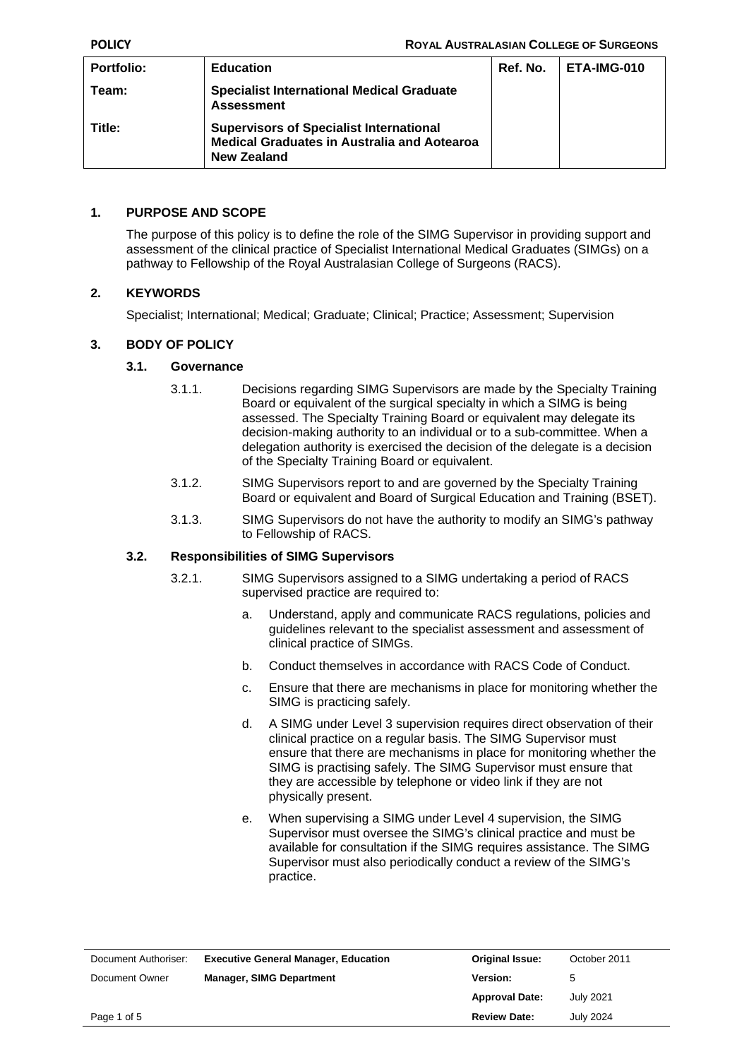| Portfolio: | <b>Education</b>                                                                                                           | Ref. No. | ETA-IMG-010 |
|------------|----------------------------------------------------------------------------------------------------------------------------|----------|-------------|
| Team:      | <b>Specialist International Medical Graduate</b><br><b>Assessment</b>                                                      |          |             |
| Title:     | <b>Supervisors of Specialist International</b><br><b>Medical Graduates in Australia and Aotearoa</b><br><b>New Zealand</b> |          |             |

## **1. PURPOSE AND SCOPE**

The purpose of this policy is to define the role of the SIMG Supervisor in providing support and assessment of the clinical practice of Specialist International Medical Graduates (SIMGs) on a pathway to Fellowship of the Royal Australasian College of Surgeons (RACS).

# **2. KEYWORDS**

Specialist; International; Medical; Graduate; Clinical; Practice; Assessment; Supervision

### **3. BODY OF POLICY**

### **3.1. Governance**

- 3.1.1. Decisions regarding SIMG Supervisors are made by the Specialty Training Board or equivalent of the surgical specialty in which a SIMG is being assessed. The Specialty Training Board or equivalent may delegate its decision-making authority to an individual or to a sub-committee. When a delegation authority is exercised the decision of the delegate is a decision of the Specialty Training Board or equivalent.
- 3.1.2. SIMG Supervisors report to and are governed by the Specialty Training Board or equivalent and Board of Surgical Education and Training (BSET).
- 3.1.3. SIMG Supervisors do not have the authority to modify an SIMG's pathway to Fellowship of RACS.

#### **3.2. Responsibilities of SIMG Supervisors**

- 3.2.1. SIMG Supervisors assigned to a SIMG undertaking a period of RACS supervised practice are required to:
	- a. Understand, apply and communicate RACS regulations, policies and guidelines relevant to the specialist assessment and assessment of clinical practice of SIMGs.
	- b. Conduct themselves in accordance with RACS Code of Conduct.
	- c. Ensure that there are mechanisms in place for monitoring whether the SIMG is practicing safely.
	- d. A SIMG under Level 3 supervision requires direct observation of their clinical practice on a regular basis. The SIMG Supervisor must ensure that there are mechanisms in place for monitoring whether the SIMG is practising safely. The SIMG Supervisor must ensure that they are accessible by telephone or video link if they are not physically present.
	- e. When supervising a SIMG under Level 4 supervision, the SIMG Supervisor must oversee the SIMG's clinical practice and must be available for consultation if the SIMG requires assistance. The SIMG Supervisor must also periodically conduct a review of the SIMG's practice.

| Document Authoriser: | <b>Executive General Manager, Education</b> | <b>Original Issue:</b> | October 2011     |
|----------------------|---------------------------------------------|------------------------|------------------|
| Document Owner       | <b>Manager, SIMG Department</b>             | <b>Version:</b>        | 5                |
|                      |                                             | <b>Approval Date:</b>  | July 2021        |
| Page 1 of 5          |                                             | <b>Review Date:</b>    | <b>July 2024</b> |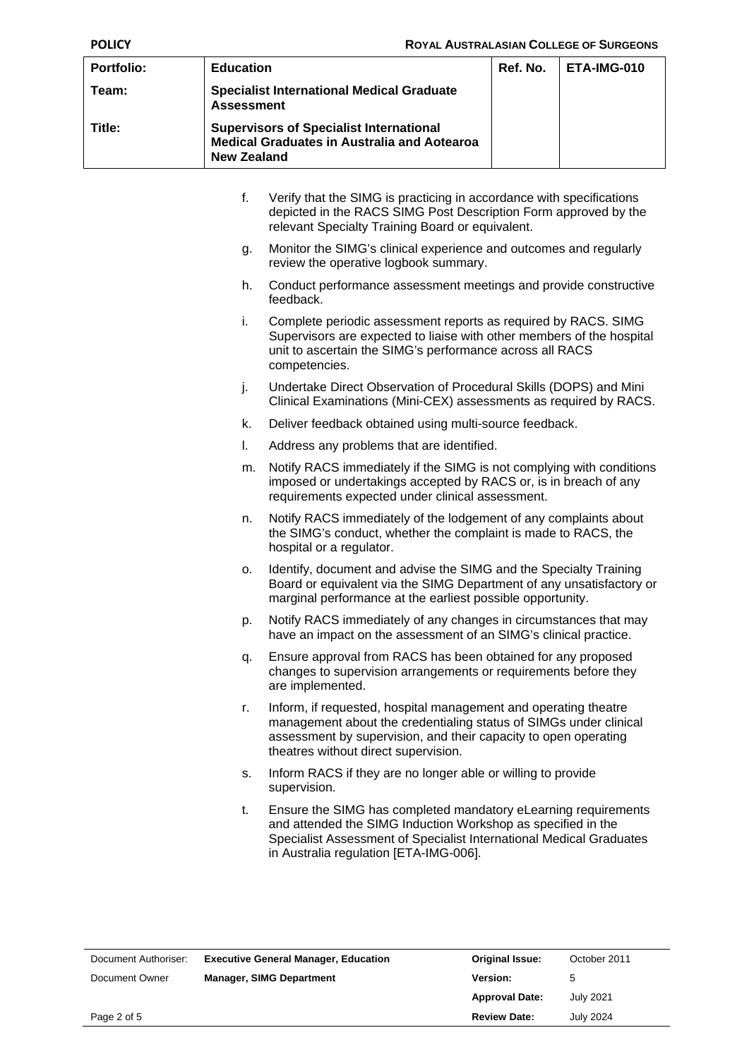| <b>Portfolio:</b> | <b>Education</b>                                                                                                    | Ref. No. | ETA-IMG-010 |
|-------------------|---------------------------------------------------------------------------------------------------------------------|----------|-------------|
| Team:             | <b>Specialist International Medical Graduate</b><br><b>Assessment</b>                                               |          |             |
| Title:            | <b>Supervisors of Specialist International</b><br><b>Medical Graduates in Australia and Aotearoa</b><br>New Zealand |          |             |

- f. Verify that the SIMG is practicing in accordance with specifications depicted in the RACS SIMG Post Description Form approved by the relevant Specialty Training Board or equivalent.
- g. Monitor the SIMG's clinical experience and outcomes and regularly review the operative logbook summary.
- h. Conduct performance assessment meetings and provide constructive feedback.
- i. Complete periodic assessment reports as required by RACS. SIMG Supervisors are expected to liaise with other members of the hospital unit to ascertain the SIMG's performance across all RACS competencies.
- j. Undertake Direct Observation of Procedural Skills (DOPS) and Mini Clinical Examinations (Mini-CEX) assessments as required by RACS.
- k. Deliver feedback obtained using multi-source feedback.
- l. Address any problems that are identified.
- m. Notify RACS immediately if the SIMG is not complying with conditions imposed or undertakings accepted by RACS or, is in breach of any requirements expected under clinical assessment.
- n. Notify RACS immediately of the lodgement of any complaints about the SIMG's conduct, whether the complaint is made to RACS, the hospital or a regulator.
- o. Identify, document and advise the SIMG and the Specialty Training Board or equivalent via the SIMG Department of any unsatisfactory or marginal performance at the earliest possible opportunity.
- p. Notify RACS immediately of any changes in circumstances that may have an impact on the assessment of an SIMG's clinical practice.
- q. Ensure approval from RACS has been obtained for any proposed changes to supervision arrangements or requirements before they are implemented.
- r. Inform, if requested, hospital management and operating theatre management about the credentialing status of SIMGs under clinical assessment by supervision, and their capacity to open operating theatres without direct supervision.
- s. Inform RACS if they are no longer able or willing to provide supervision.
- t. Ensure the SIMG has completed mandatory eLearning requirements and attended the SIMG Induction Workshop as specified in the Specialist Assessment of Specialist International Medical Graduates in Australia regulation [ETA-IMG-006].

| Document Authoriser: | <b>Executive General Manager, Education</b> | <b>Original Issue:</b> | October 2011     |
|----------------------|---------------------------------------------|------------------------|------------------|
| Document Owner       | <b>Manager, SIMG Department</b>             | <b>Version:</b>        | 5                |
|                      |                                             | <b>Approval Date:</b>  | July 2021        |
| Page 2 of 5          |                                             | <b>Review Date:</b>    | <b>July 2024</b> |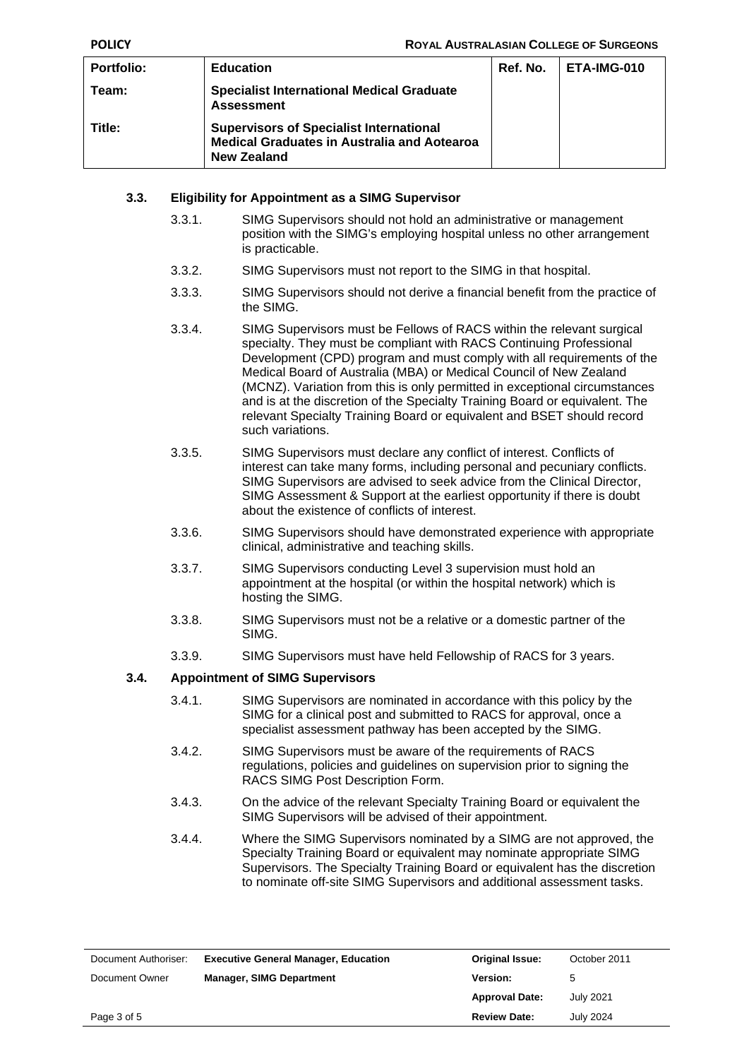| <b>Portfolio:</b> | <b>Education</b>                                                                                                           | Ref. No. | ETA-IMG-010 |
|-------------------|----------------------------------------------------------------------------------------------------------------------------|----------|-------------|
| Team:             | <b>Specialist International Medical Graduate</b><br><b>Assessment</b>                                                      |          |             |
| Title:            | <b>Supervisors of Specialist International</b><br><b>Medical Graduates in Australia and Aotearoa</b><br><b>New Zealand</b> |          |             |

### **3.3. Eligibility for Appointment as a SIMG Supervisor**

- 3.3.1. SIMG Supervisors should not hold an administrative or management position with the SIMG's employing hospital unless no other arrangement is practicable.
- 3.3.2. SIMG Supervisors must not report to the SIMG in that hospital.
- 3.3.3. SIMG Supervisors should not derive a financial benefit from the practice of the SIMG.
- 3.3.4. SIMG Supervisors must be Fellows of RACS within the relevant surgical specialty. They must be compliant with RACS Continuing Professional Development (CPD) program and must comply with all requirements of the Medical Board of Australia (MBA) or Medical Council of New Zealand (MCNZ). Variation from this is only permitted in exceptional circumstances and is at the discretion of the Specialty Training Board or equivalent. The relevant Specialty Training Board or equivalent and BSET should record such variations.
- 3.3.5. SIMG Supervisors must declare any conflict of interest. Conflicts of interest can take many forms, including personal and pecuniary conflicts. SIMG Supervisors are advised to seek advice from the Clinical Director, SIMG Assessment & Support at the earliest opportunity if there is doubt about the existence of conflicts of interest.
- 3.3.6. SIMG Supervisors should have demonstrated experience with appropriate clinical, administrative and teaching skills.
- 3.3.7. SIMG Supervisors conducting Level 3 supervision must hold an appointment at the hospital (or within the hospital network) which is hosting the SIMG.
- 3.3.8. SIMG Supervisors must not be a relative or a domestic partner of the SIMG.
- 3.3.9. SIMG Supervisors must have held Fellowship of RACS for 3 years.

#### **3.4. Appointment of SIMG Supervisors**

- 3.4.1. SIMG Supervisors are nominated in accordance with this policy by the SIMG for a clinical post and submitted to RACS for approval, once a specialist assessment pathway has been accepted by the SIMG.
- 3.4.2. SIMG Supervisors must be aware of the requirements of RACS regulations, policies and guidelines on supervision prior to signing the RACS SIMG Post Description Form.
- 3.4.3. On the advice of the relevant Specialty Training Board or equivalent the SIMG Supervisors will be advised of their appointment.
- 3.4.4. Where the SIMG Supervisors nominated by a SIMG are not approved, the Specialty Training Board or equivalent may nominate appropriate SIMG Supervisors. The Specialty Training Board or equivalent has the discretion to nominate off-site SIMG Supervisors and additional assessment tasks.

| Document Authoriser: | <b>Executive General Manager, Education</b> | <b>Original Issue:</b> | October 2011     |
|----------------------|---------------------------------------------|------------------------|------------------|
| Document Owner       | <b>Manager, SIMG Department</b>             | <b>Version:</b>        | 5                |
|                      |                                             | <b>Approval Date:</b>  | <b>July 2021</b> |
| Page 3 of 5          |                                             | <b>Review Date:</b>    | <b>July 2024</b> |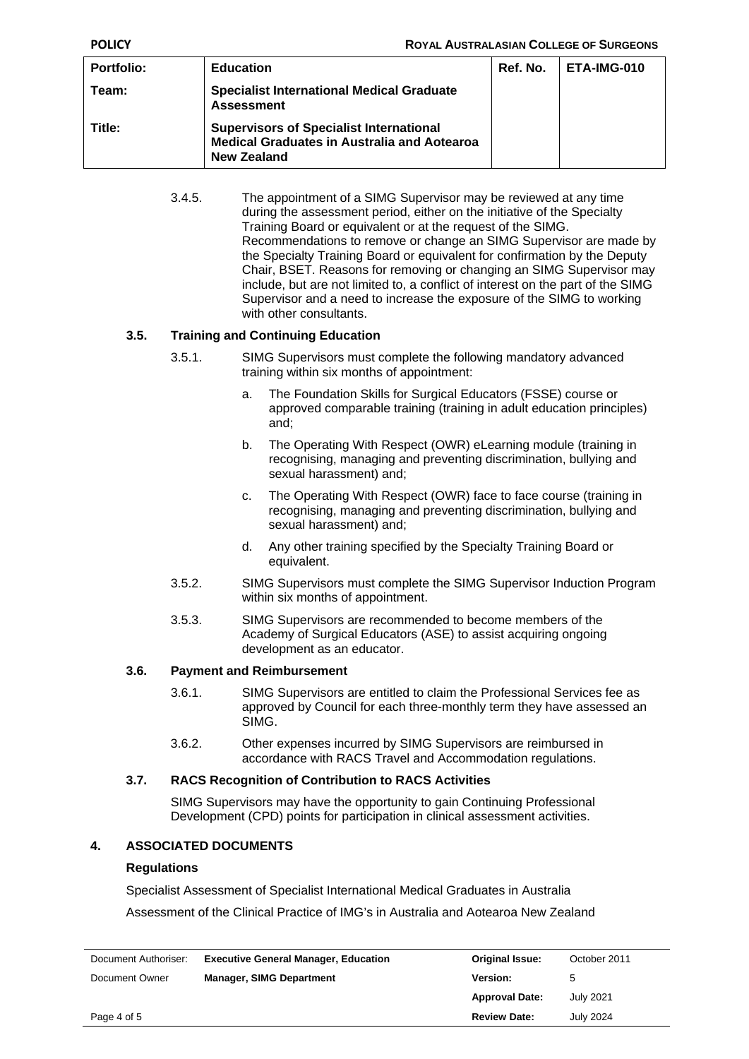| <b>Portfolio:</b> | <b>Education</b>                                                                                                    | Ref. No. | ETA-IMG-010 |
|-------------------|---------------------------------------------------------------------------------------------------------------------|----------|-------------|
| Team:             | <b>Specialist International Medical Graduate</b><br><b>Assessment</b>                                               |          |             |
| Title:            | <b>Supervisors of Specialist International</b><br><b>Medical Graduates in Australia and Aotearoa</b><br>New Zealand |          |             |

3.4.5. The appointment of a SIMG Supervisor may be reviewed at any time during the assessment period, either on the initiative of the Specialty Training Board or equivalent or at the request of the SIMG. Recommendations to remove or change an SIMG Supervisor are made by the Specialty Training Board or equivalent for confirmation by the Deputy Chair, BSET. Reasons for removing or changing an SIMG Supervisor may include, but are not limited to, a conflict of interest on the part of the SIMG Supervisor and a need to increase the exposure of the SIMG to working with other consultants.

# **3.5. Training and Continuing Education**

- 3.5.1. SIMG Supervisors must complete the following mandatory advanced training within six months of appointment:
	- a. The Foundation Skills for Surgical Educators (FSSE) course or approved comparable training (training in adult education principles) and;
	- b. The Operating With Respect (OWR) eLearning module (training in recognising, managing and preventing discrimination, bullying and sexual harassment) and;
	- c. The Operating With Respect (OWR) face to face course (training in recognising, managing and preventing discrimination, bullying and sexual harassment) and;
	- d. Any other training specified by the Specialty Training Board or equivalent.
- 3.5.2. SIMG Supervisors must complete the SIMG Supervisor Induction Program within six months of appointment.
- 3.5.3. SIMG Supervisors are recommended to become members of the Academy of Surgical Educators (ASE) to assist acquiring ongoing development as an educator.

# **3.6. Payment and Reimbursement**

- 3.6.1. SIMG Supervisors are entitled to claim the Professional Services fee as approved by Council for each three-monthly term they have assessed an SIMG.
- 3.6.2. Other expenses incurred by SIMG Supervisors are reimbursed in accordance with RACS Travel and Accommodation regulations.

# **3.7. RACS Recognition of Contribution to RACS Activities**

SIMG Supervisors may have the opportunity to gain Continuing Professional Development (CPD) points for participation in clinical assessment activities.

# **4. ASSOCIATED DOCUMENTS**

# **Regulations**

Specialist Assessment of Specialist International Medical Graduates in Australia

Assessment of the Clinical Practice of IMG's in Australia and Aotearoa New Zealand

| Document Authoriser: | <b>Executive General Manager, Education</b> | <b>Original Issue:</b> | October 2011     |
|----------------------|---------------------------------------------|------------------------|------------------|
| Document Owner       | <b>Manager, SIMG Department</b>             | Version:               | 5                |
|                      |                                             | <b>Approval Date:</b>  | <b>July 2021</b> |
| Page 4 of 5          |                                             | <b>Review Date:</b>    | July 2024        |